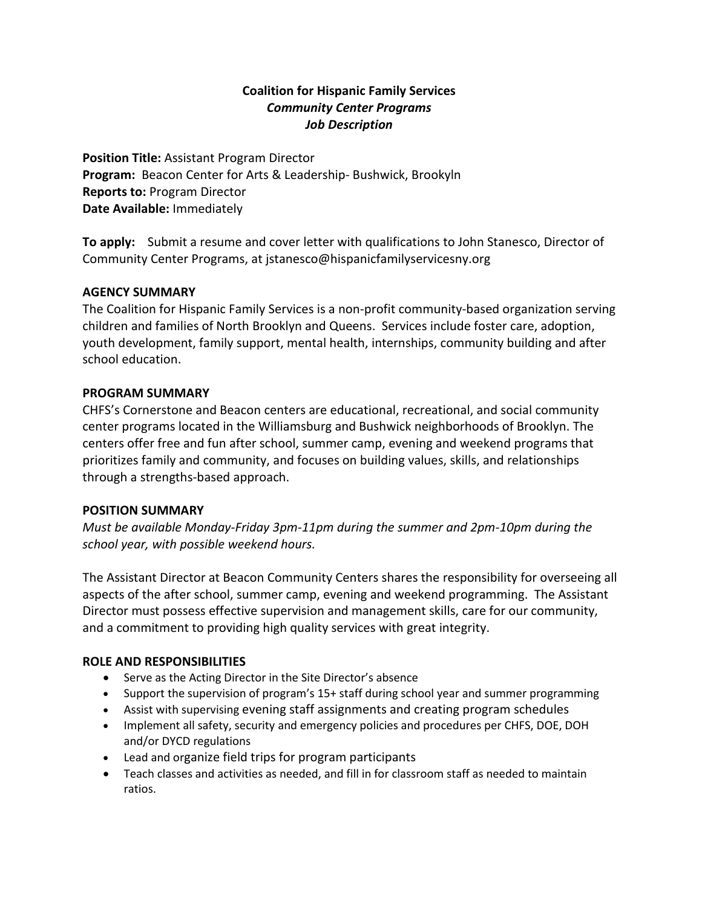### **Coalition for Hispanic Family Services** *Community Center Programs Job Description*

**Position Title:** Assistant Program Director **Program:** Beacon Center for Arts & Leadership- Bushwick, Brookyln **Reports to:** Program Director **Date Available:** Immediately

**To apply:** Submit a resume and cover letter with qualifications to John Stanesco, Director of Community Center Programs, at jstanesco@hispanicfamilyservicesny.org

### **AGENCY SUMMARY**

The Coalition for Hispanic Family Services is a non-profit community-based organization serving children and families of North Brooklyn and Queens. Services include foster care, adoption, youth development, family support, mental health, internships, community building and after school education.

### **PROGRAM SUMMARY**

CHFS's Cornerstone and Beacon centers are educational, recreational, and social community center programs located in the Williamsburg and Bushwick neighborhoods of Brooklyn. The centers offer free and fun after school, summer camp, evening and weekend programs that prioritizes family and community, and focuses on building values, skills, and relationships through a strengths-based approach.

### **POSITION SUMMARY**

*Must be available Monday-Friday 3pm-11pm during the summer and 2pm-10pm during the school year, with possible weekend hours.*

The Assistant Director at Beacon Community Centers shares the responsibility for overseeing all aspects of the after school, summer camp, evening and weekend programming. The Assistant Director must possess effective supervision and management skills, care for our community, and a commitment to providing high quality services with great integrity.

# **ROLE AND RESPONSIBILITIES**

- Serve as the Acting Director in the Site Director's absence
- Support the supervision of program's 15+ staff during school year and summer programming
- Assist with supervising evening staff assignments and creating program schedules
- Implement all safety, security and emergency policies and procedures per CHFS, DOE, DOH and/or DYCD regulations
- Lead and organize field trips for program participants
- Teach classes and activities as needed, and fill in for classroom staff as needed to maintain ratios.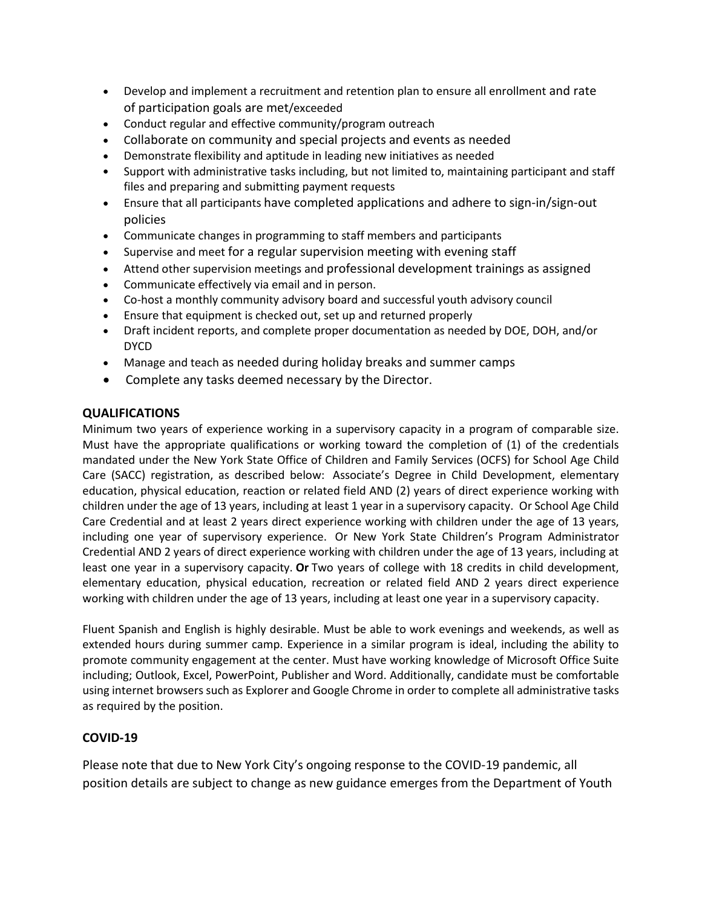- Develop and implement a recruitment and retention plan to ensure all enrollment and rate of participation goals are met/exceeded
- Conduct regular and effective community/program outreach
- Collaborate on community and special projects and events as needed
- Demonstrate flexibility and aptitude in leading new initiatives as needed
- Support with administrative tasks including, but not limited to, maintaining participant and staff files and preparing and submitting payment requests
- Ensure that all participants have completed applications and adhere to sign-in/sign-out policies
- Communicate changes in programming to staff members and participants
- Supervise and meet for a regular supervision meeting with evening staff
- Attend other supervision meetings and professional development trainings as assigned
- Communicate effectively via email and in person.
- Co-host a monthly community advisory board and successful youth advisory council
- Ensure that equipment is checked out, set up and returned properly
- Draft incident reports, and complete proper documentation as needed by DOE, DOH, and/or DYCD
- Manage and teach as needed during holiday breaks and summer camps
- Complete any tasks deemed necessary by the Director.

### **QUALIFICATIONS**

Minimum two years of experience working in a supervisory capacity in a program of comparable size. Must have the appropriate qualifications or working toward the completion of (1) of the credentials mandated under the New York State Office of Children and Family Services (OCFS) for School Age Child Care (SACC) registration, as described below: Associate's Degree in Child Development, elementary education, physical education, reaction or related field AND (2) years of direct experience working with children under the age of 13 years, including at least 1 year in a supervisory capacity. Or School Age Child Care Credential and at least 2 years direct experience working with children under the age of 13 years, including one year of supervisory experience. Or New York State Children's Program Administrator Credential AND 2 years of direct experience working with children under the age of 13 years, including at least one year in a supervisory capacity. **Or** Two years of college with 18 credits in child development, elementary education, physical education, recreation or related field AND 2 years direct experience working with children under the age of 13 years, including at least one year in a supervisory capacity.

Fluent Spanish and English is highly desirable. Must be able to work evenings and weekends, as well as extended hours during summer camp. Experience in a similar program is ideal, including the ability to promote community engagement at the center. Must have working knowledge of Microsoft Office Suite including; Outlook, Excel, PowerPoint, Publisher and Word. Additionally, candidate must be comfortable using internet browsers such as Explorer and Google Chrome in order to complete all administrative tasks as required by the position.

### **COVID-19**

Please note that due to New York City's ongoing response to the COVID-19 pandemic, all position details are subject to change as new guidance emerges from the Department of Youth